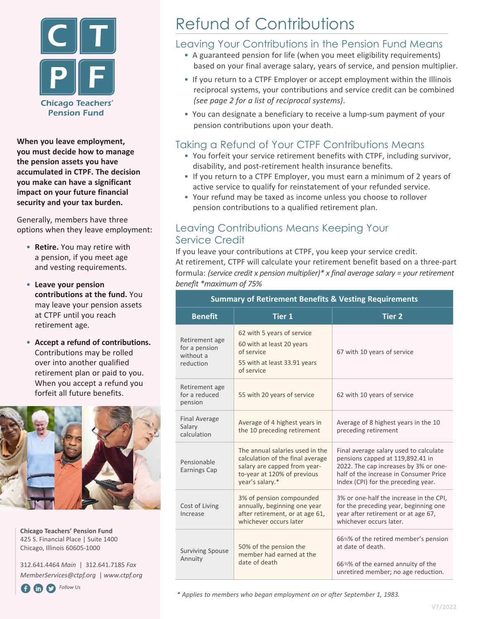

**When you leave employment, you must decide how to manage the pension assets you have accumulated in CTPF. The decision you make can have a significant impact on your future financial security and your tax burden.** 

Generally, members have three options when they leave employment:

- **Retire.** You may retire with a pension, if you meet age and vesting requirements.
- **Leave your pension contributions at the fund.** You may leave your pension assets at CTPF until you reach retirement age.
- **Accept a refund of contributions.**  Contributions may be rolled over into another qualified retirement plan or paid to you. When you accept a refund you forfeit all future benefits.



**Chicago Teachers' Pension Fund** 425 S. Financial Place | Suite 1400 Chicago, Illinois 60605-1000

312.641.4464 *Main* | 312.641.7185 *Fax MemberServices@ctpf.org* | *www.ctpf.org*

**FollowUs** 

# Refund of Contributions

### Leaving Your Contributions in the Pension Fund Means

- A guaranteed pension for life (when you meet eligibility requirements) based on your final average salary, years of service, and pension multiplier.
- If you return to a CTPF Employer or accept employment within the Illinois reciprocal systems, your contributions and service credit can be combined *(see page 2 for a list of reciprocal systems)*.
- You can designate a beneficiary to receive a lump-sum payment of your pension contributions upon your death.

### Taking a Refund of Your CTPF Contributions Means

- You forfeit your service retirement benefits with CTPF, including survivor, disability, and post-retirement health insurance benefits.
- If you return to a CTPF Employer, you must earn a minimum of 2 years of active service to qualify for reinstatement of your refunded service.
- Your refund may be taxed as income unless you choose to rollover pension contributions to a qualified retirement plan.

### Leaving Contributions Means Keeping Your Service Credit

If you leave your contributions at CTPF, you keep your service credit. At retirement, CTPF will calculate your retirement benefit based on a three-part formula: *(service credit x pension multiplier)\* x final average salary = your retirement benefit \*maximum of 75%* 

|  | <b>Summary of Retirement Benefits &amp; Vesting Requirements</b> |                                                                                                                                                       |                                                                                                                                                                                                      |
|--|------------------------------------------------------------------|-------------------------------------------------------------------------------------------------------------------------------------------------------|------------------------------------------------------------------------------------------------------------------------------------------------------------------------------------------------------|
|  | <b>Benefit</b>                                                   | Tier 1                                                                                                                                                | <b>Tier 2</b>                                                                                                                                                                                        |
|  | Retirement age<br>for a pension<br>without a<br>reduction        | 62 with 5 years of service<br>60 with at least 20 years<br>of service<br>55 with at least 33.91 years<br>of service                                   | 67 with 10 years of service                                                                                                                                                                          |
|  | Retirement age<br>for a reduced<br>pension                       | 55 with 20 years of service                                                                                                                           | 62 with 10 years of service                                                                                                                                                                          |
|  | <b>Final Average</b><br>Salary<br>calculation                    | Average of 4 highest years in<br>the 10 preceding retirement                                                                                          | Average of 8 highest years in the 10<br>preceding retirement                                                                                                                                         |
|  | Pensionable<br><b>Earnings Cap</b>                               | The annual salaries used in the<br>calculation of the final average<br>salary are capped from year-<br>to-year at 120% of previous<br>year's salary.* | Final average salary used to calculate<br>pensions capped at 119,892.41 in<br>2022. The cap increases by 3% or one-<br>half of the increase in Consumer Price<br>Index (CPI) for the preceding year. |
|  | Cost of Living<br>Increase                                       | 3% of pension compounded<br>annually, beginning one year<br>after retirement, or at age 61,<br>whichever occurs later                                 | 3% or one-half the increase in the CPI,<br>for the preceding year, beginning one<br>year after retirement or at age 67,<br>whichever occurs later.                                                   |
|  | <b>Surviving Spouse</b><br>Annuity                               | 50% of the pension the<br>member had earned at the<br>date of death                                                                                   | 66%% of the retired member's pension<br>at date of death.<br>66%% of the earned annuity of the<br>unretired member; no age reduction.                                                                |
|  |                                                                  |                                                                                                                                                       |                                                                                                                                                                                                      |

*\* Applies to members who began employment on or after September 1, 1983.*